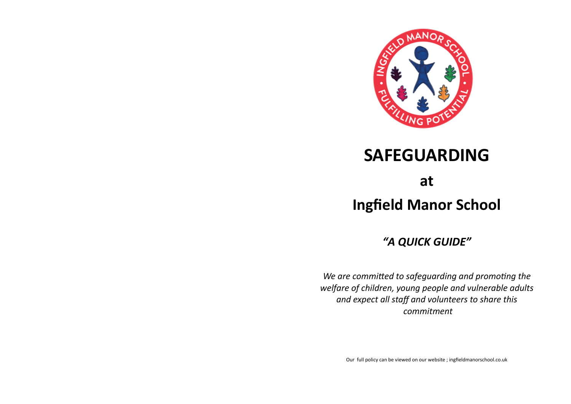

# **SAFEGUARDING**

**at**

**Ingfield Manor School**

*"A QUICK GUIDE"*

*We are committed to safeguarding and promoting the welfare of children, young people and vulnerable adults and expect all staff and volunteers to share this commitment*

Our full policy can be viewed on our website ; ingfieldmanorschool.co.uk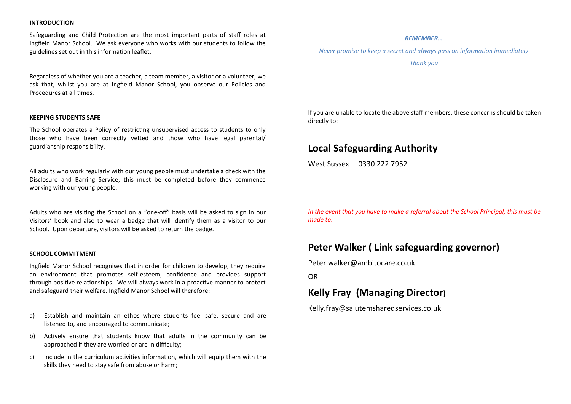#### **INTRODUCTION**

Safeguarding and Child Protection are the most important parts of staff roles at Ingfield Manor School. We ask everyone who works with our students to follow the guidelines set out in this information leaflet.

Regardless of whether you are a teacher, a team member, a visitor or a volunteer, we ask that, whilst you are at Ingfield Manor School, you observe our Policies and Procedures at all times.

#### **KEEPING STUDENTS SAFE**

The School operates a Policy of restricting unsupervised access to students to only those who have been correctly vetted and those who have legal parental/ guardianship responsibility.

All adults who work regularly with our young people must undertake a check with the Disclosure and Barring Service; this must be completed before they commence working with our young people.

Adults who are visiting the School on a "one-off" basis will be asked to sign in our Visitors' book and also to wear a badge that will identify them as a visitor to our School. Upon departure, visitors will be asked to return the badge.

#### **SCHOOL COMMITMENT**

Ingfield Manor School recognises that in order for children to develop, they require an environment that promotes self-esteem, confidence and provides support through positive relationships. We will always work in a proactive manner to protect and safeguard their welfare. Ingfield Manor School will therefore:

- a) Establish and maintain an ethos where students feel safe, secure and are listened to, and encouraged to communicate;
- b) Actively ensure that students know that adults in the community can be approached if they are worried or are in difficulty;
- c) Include in the curriculum activities information, which will equip them with the skills they need to stay safe from abuse or harm;

#### *REMEMBER…*

*Never promise to keep a secret and always pass on information immediately* 

*Thank you*

If you are unable to locate the above staff members, these concerns should be taken directly to:

## **Local Safeguarding Authority**

West Sussex— 0330 222 7952

*In the event that you have to make a referral about the School Principal, this must be made to:*

# **Peter Walker ( Link safeguarding governor)**

Peter.walker@ambitocare.co.uk

OR

# **Kelly Fray (Managing Director)**

Kelly.fray@salutemsharedservices.co.uk